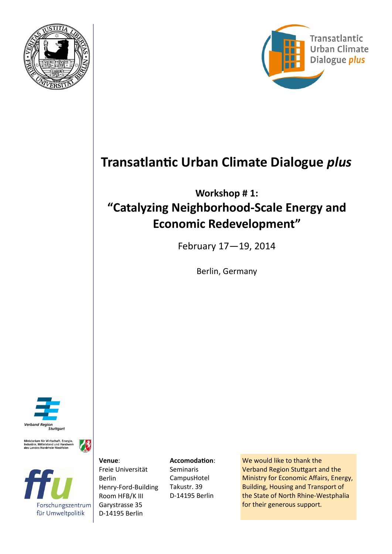



# **Transatlantic Urban Climate Dialogue** *plus*

# **Workshop # 1: "Catalyzing Neighborhood-Scale Energy and Economic Redevelopment"**

February 17—19, 2014

Berlin, Germany



Ministerium für Wirtschaft, Energie,<br>Industrie, Mittelstand und Handwerk<br>des Landes Nordrhein-Westfalen

不



**Venue**: Freie Universität Berlin Henry-Ford-Building Room HFB/K III Garystrasse 35 D-14195 Berlin

**Accomodation**: Seminaris CampusHotel Takustr. 39 D-14195 Berlin

We would like to thank the Verband Region Stuttgart and the Ministry for Economic Affairs, Energy, Building, Housing and Transport of the State of North Rhine-Westphalia for their generous support*.*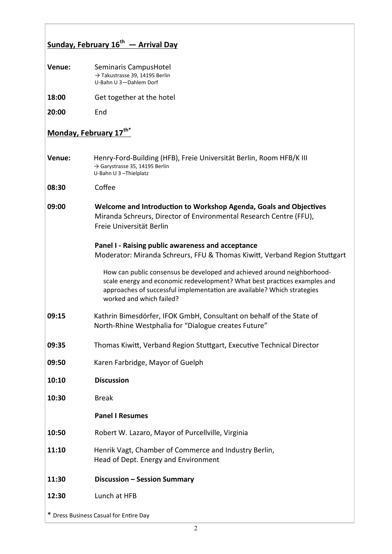## **Sunday, February 16th — Arrival Day**

| Venue: | Seminaris CampusHotel                      |
|--------|--------------------------------------------|
|        | $\rightarrow$ Takustrasse 39, 14195 Berlin |
|        | U-Bahn U 3-Dahlem Dorf                     |
|        |                                            |

- **18:00** Get together at the hotel
- **20:00** End

### **Monday, February 17th\***

- **Venue:** Henry-Ford-Building (HFB), Freie Universität Berlin, Room HFB/K III → Garystrasse 35, 14195 Berlin U-Bahn U 3 –Thielplatz
- **08:30** Coffee
- **09:00 Welcome and Introduction to Workshop Agenda, Goals and Objectives** Miranda Schreurs, Director of Environmental Research Centre (FFU), Freie Universität Berlin

#### **Panel I - Raising public awareness and acceptance** Moderator: Miranda Schreurs, FFU & Thomas Kiwitt, Verband Region Stuttgart

How can public consensus be developed and achieved around neighborhoodscale energy and economic redevelopment? What best practices examples and approaches of successful implementation are available? Which strategies worked and which failed?

- **09:15** Kathrin Bimesdörfer, IFOK GmbH, Consultant on behalf of the State of North-Rhine Westphalia for "Dialogue creates Future"
- **09:35** Thomas Kiwitt, Verband Region Stuttgart, Executive Technical Director
- **09:50** Karen Farbridge, Mayor of Guelph
- **10:10 Discussion**
- **10:30** Break

### **Panel I Resumes**

- **10:50** Robert W. Lazaro, Mayor of Purcellville, Virginia
- **11:10** Henrik Vagt, Chamber of Commerce and Industry Berlin, Head of Dept. Energy and Environment
- **11:30 Discussion – Session Summary**
- **12:30** Lunch at HFB

\* Dress Business Casual for Entire Day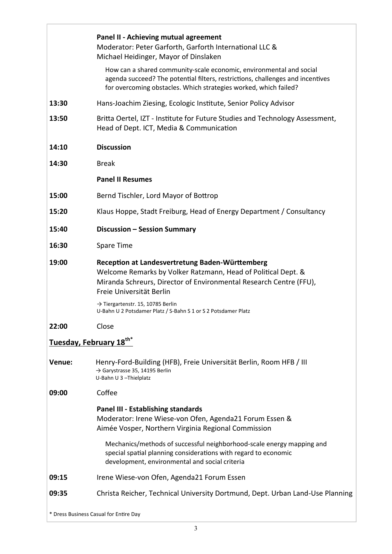|                                     | Panel II - Achieving mutual agreement<br>Moderator: Peter Garforth, Garforth International LLC &<br>Michael Heidinger, Mayor of Dinslaken                                                                                 |
|-------------------------------------|---------------------------------------------------------------------------------------------------------------------------------------------------------------------------------------------------------------------------|
|                                     | How can a shared community-scale economic, environmental and social<br>agenda succeed? The potential filters, restrictions, challenges and incentives<br>for overcoming obstacles. Which strategies worked, which failed? |
| 13:30                               | Hans-Joachim Ziesing, Ecologic Institute, Senior Policy Advisor                                                                                                                                                           |
| 13:50                               | Britta Oertel, IZT - Institute for Future Studies and Technology Assessment,<br>Head of Dept. ICT, Media & Communication                                                                                                  |
| 14:10                               | <b>Discussion</b>                                                                                                                                                                                                         |
| 14:30                               | <b>Break</b>                                                                                                                                                                                                              |
|                                     | <b>Panel II Resumes</b>                                                                                                                                                                                                   |
| 15:00                               | Bernd Tischler, Lord Mayor of Bottrop                                                                                                                                                                                     |
| 15:20                               | Klaus Hoppe, Stadt Freiburg, Head of Energy Department / Consultancy                                                                                                                                                      |
| 15:40                               | Discussion - Session Summary                                                                                                                                                                                              |
| 16:30                               | Spare Time                                                                                                                                                                                                                |
| 19:00                               | Reception at Landesvertretung Baden-Württemberg<br>Welcome Remarks by Volker Ratzmann, Head of Political Dept. &<br>Miranda Schreurs, Director of Environmental Research Centre (FFU),<br>Freie Universität Berlin        |
|                                     | $\rightarrow$ Tiergartenstr. 15, 10785 Berlin<br>U-Bahn U 2 Potsdamer Platz / S-Bahn S 1 or S 2 Potsdamer Platz                                                                                                           |
| 22:00                               | Close                                                                                                                                                                                                                     |
| Tuesday, February 18 <sup>th*</sup> |                                                                                                                                                                                                                           |
| Venue:                              | Henry-Ford-Building (HFB), Freie Universität Berlin, Room HFB / III<br>$\rightarrow$ Garystrasse 35, 14195 Berlin<br>U-Bahn U 3-Thielplatz                                                                                |
| 09:00                               | Coffee                                                                                                                                                                                                                    |
|                                     | <b>Panel III - Establishing standards</b><br>Moderator: Irene Wiese-von Ofen, Agenda21 Forum Essen &<br>Aimée Vosper, Northern Virginia Regional Commission                                                               |
|                                     | Mechanics/methods of successful neighborhood-scale energy mapping and<br>special spatial planning considerations with regard to economic<br>development, environmental and social criteria                                |
| 09:15                               | Irene Wiese-von Ofen, Agenda21 Forum Essen                                                                                                                                                                                |
| 09:35                               | Christa Reicher, Technical University Dortmund, Dept. Urban Land-Use Planning                                                                                                                                             |
|                                     | * Dress Business Casual for Entire Day                                                                                                                                                                                    |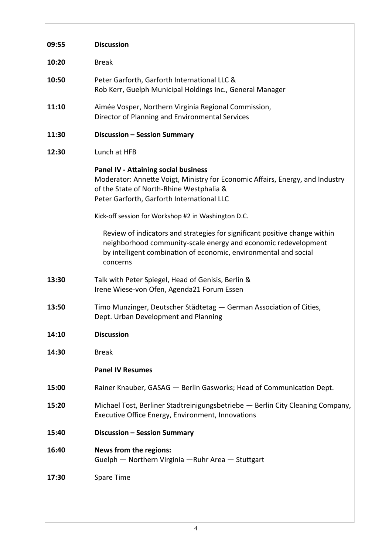| 09:55 | <b>Discussion</b>                                                                                                                                                                                                            |
|-------|------------------------------------------------------------------------------------------------------------------------------------------------------------------------------------------------------------------------------|
| 10:20 | <b>Break</b>                                                                                                                                                                                                                 |
| 10:50 | Peter Garforth, Garforth International LLC &<br>Rob Kerr, Guelph Municipal Holdings Inc., General Manager                                                                                                                    |
| 11:10 | Aimée Vosper, Northern Virginia Regional Commission,<br>Director of Planning and Environmental Services                                                                                                                      |
| 11:30 | <b>Discussion - Session Summary</b>                                                                                                                                                                                          |
| 12:30 | Lunch at HFB                                                                                                                                                                                                                 |
|       | <b>Panel IV - Attaining social business</b><br>Moderator: Annette Voigt, Ministry for Economic Affairs, Energy, and Industry<br>of the State of North-Rhine Westphalia &<br>Peter Garforth, Garforth International LLC       |
|       | Kick-off session for Workshop #2 in Washington D.C.                                                                                                                                                                          |
|       | Review of indicators and strategies for significant positive change within<br>neighborhood community-scale energy and economic redevelopment<br>by intelligent combination of economic, environmental and social<br>concerns |
| 13:30 | Talk with Peter Spiegel, Head of Genisis, Berlin &<br>Irene Wiese-von Ofen, Agenda21 Forum Essen                                                                                                                             |
| 13:50 | Timo Munzinger, Deutscher Städtetag - German Association of Cities,<br>Dept. Urban Development and Planning                                                                                                                  |
| 14:10 | <b>Discussion</b>                                                                                                                                                                                                            |
| 14:30 | <b>Break</b>                                                                                                                                                                                                                 |
|       | <b>Panel IV Resumes</b>                                                                                                                                                                                                      |
| 15:00 | Rainer Knauber, GASAG - Berlin Gasworks; Head of Communication Dept.                                                                                                                                                         |
| 15:20 | Michael Tost, Berliner Stadtreinigungsbetriebe - Berlin City Cleaning Company,<br>Executive Office Energy, Environment, Innovations                                                                                          |
| 15:40 | Discussion - Session Summary                                                                                                                                                                                                 |
| 16:40 | News from the regions:<br>Guelph - Northern Virginia - Ruhr Area - Stuttgart                                                                                                                                                 |
| 17:30 | Spare Time                                                                                                                                                                                                                   |